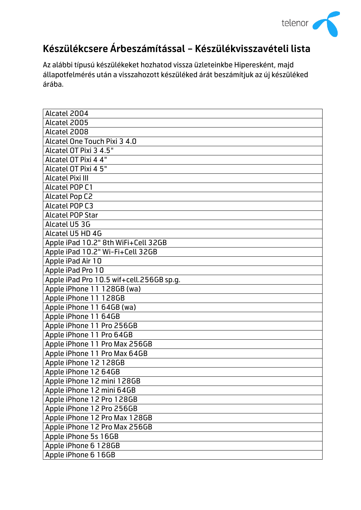

## **Készülékcsere Árbeszámítással – Készülékvisszavételi lista**

Az alábbi típusú készülékeket hozhatod vissza üzleteinkbe Hiperesként, majd állapotfelmérés után a visszahozott készüléked árát beszámítjuk az új készüléked árába.

| Alcatel 2004                             |
|------------------------------------------|
| Alcatel 2005                             |
| Alcatel 2008                             |
| Alcatel One Touch Pixi 3 4.0             |
| Alcatel OT Pixi 3 4.5"                   |
| Alcatel OT Pixi 4 4"                     |
| Alcatel OT Pixi 4 5"                     |
| <b>Alcatel Pixi III</b>                  |
| <b>Alcatel POP C1</b>                    |
| <b>Alcatel Pop C2</b>                    |
| <b>Alcatel POP C3</b>                    |
| <b>Alcatel POP Star</b>                  |
| Alcatel U5 3G                            |
| Alcatel U5 HD 4G                         |
| Apple iPad 10.2" 8th WiFi+Cell 32GB      |
| Apple iPad 10.2" Wi-Fi+Cell 32GB         |
| Apple iPad Air 10                        |
| Apple iPad Pro 10                        |
| Apple iPad Pro 10.5 wif+cell.256GB sp.g. |
| Apple iPhone 11 128GB (wa)               |
| Apple iPhone 11 128GB                    |
| Apple iPhone 11 64GB (wa)                |
| Apple iPhone 11 64GB                     |
| Apple iPhone 11 Pro 256GB                |
| Apple iPhone 11 Pro 64GB                 |
| Apple iPhone 11 Pro Max 256GB            |
| Apple iPhone 11 Pro Max 64GB             |
| Apple iPhone 12 128GB                    |
| Apple iPhone 12 64GB                     |
| Apple iPhone 12 mini 128GB               |
| Apple iPhone 12 mini 64GB                |
| Apple iPhone 12 Pro 128GB                |
| Apple iPhone 12 Pro 256GB                |
| Apple iPhone 12 Pro Max 128GB            |
| Apple iPhone 12 Pro Max 256GB            |
| Apple iPhone 5s 16GB                     |
| Apple iPhone 6 128GB                     |
| Apple iPhone 6 16GB                      |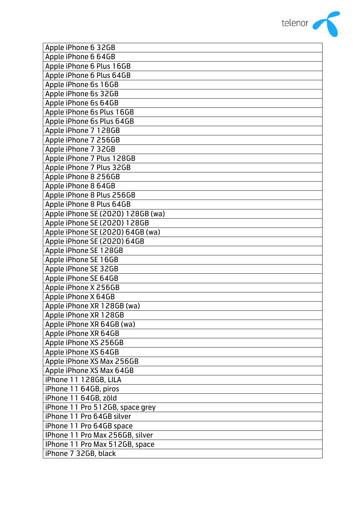

| Apple iPhone 6 32GB               |
|-----------------------------------|
| Apple iPhone 6 64GB               |
| Apple iPhone 6 Plus 16GB          |
| Apple iPhone 6 Plus 64GB          |
| Apple iPhone 6s 16GB              |
| Apple iPhone 6s 32GB              |
| Apple iPhone 6s 64GB              |
| Apple iPhone 6s Plus 16GB         |
| Apple iPhone 6s Plus 64GB         |
| Apple iPhone 7 128GB              |
| Apple iPhone 7 256GB              |
| Apple iPhone 7 32GB               |
| Apple iPhone 7 Plus 128GB         |
| Apple iPhone 7 Plus 32GB          |
| Apple iPhone 8 256GB              |
| Apple iPhone 8 64GB               |
| Apple iPhone 8 Plus 256GB         |
| Apple iPhone 8 Plus 64GB          |
| Apple iPhone SE (2020) 128GB (wa) |
| Apple iPhone SE (2020) 128GB      |
| Apple iPhone SE (2020) 64GB (wa)  |
| Apple iPhone SE (2020) 64GB       |
| Apple iPhone SE 128GB             |
| Apple iPhone SE 16GB              |
| Apple iPhone SE 32GB              |
| Apple iPhone SE 64GB              |
| Apple iPhone X 256GB              |
| Apple iPhone X 64GB               |
| Apple iPhone XR 128GB (wa)        |
| Apple iPhone XR 128GB             |
| Apple iPhone XR 64GB (wa)         |
| Apple iPhone XR 64GB              |
| Apple iPhone XS 256GB             |
| Apple iPhone XS 64GB              |
| Apple iPhone XS Max 256GB         |
| Apple iPhone XS Max 64GB          |
| iPhone 11 128GB, LILA             |
| iPhone 11 64GB, piros             |
| iPhone 11 64GB, zöld              |
| iPhone 11 Pro 512GB, space grey   |
| iPhone 11 Pro 64GB silver         |
| iPhone 11 Pro 64GB space          |
| IPhone 11 Pro Max 256GB, silver   |
| IPhone 11 Pro Max 512GB, space    |
| iPhone 7 32GB, black              |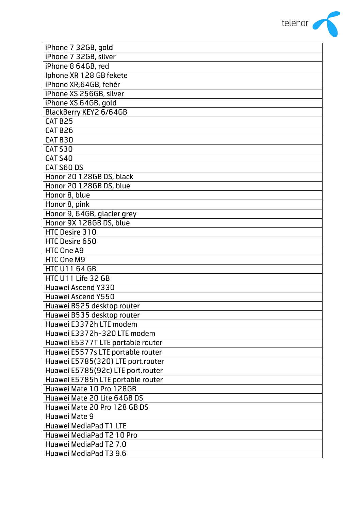

| iPhone 7 32GB, gold               |
|-----------------------------------|
| iPhone 7 32GB, silver             |
| iPhone 8 64GB, red                |
| Iphone XR 128 GB fekete           |
| iPhone XR, 64GB, fehér            |
| iPhone XS 256GB, silver           |
| iPhone XS 64GB, gold              |
| BlackBerry KEY2 6/64GB            |
| CAT B25                           |
| CAT B26                           |
| CAT B30                           |
| <b>CAT S30</b>                    |
| <b>CAT S40</b>                    |
| CAT S60 DS                        |
| Honor 20 128GB DS, black          |
| Honor 20 128GB DS, blue           |
| Honor 8, blue                     |
| Honor 8, pink                     |
| Honor 9, 64GB, glacier grey       |
| Honor 9X 128GB DS, blue           |
| HTC Desire 310                    |
| HTC Desire 650                    |
| HTC One A9                        |
| HTC One M9                        |
| <b>HTC U11 64 GB</b>              |
| HTC U11 Life 32 GB                |
| Huawei Ascend Y330                |
| <b>Huawei Ascend Y550</b>         |
| Huawei B525 desktop router        |
| Huawei B535 desktop router        |
| Huawei E3372h LTE modem           |
| Huawei E3372h-320 LTE modem       |
| Huawei E5377T LTE portable router |
| Huawei E5577s LTE portable router |
| Huawei E5785(320) LTE port.router |
| Huawei E5785(92c) LTE port.router |
| Huawei E5785h LTE portable router |
| Huawei Mate 10 Pro 128GB          |
| Huawei Mate 20 Lite 64GB DS       |
| Huawei Mate 20 Pro 128 GB DS      |
| Huawei Mate 9                     |
| <b>Huawei MediaPad T1 LTE</b>     |
| Huawei MediaPad T2 10 Pro         |
| Huawei MediaPad T2 7.0            |
| Huawei MediaPad T3 9.6            |
|                                   |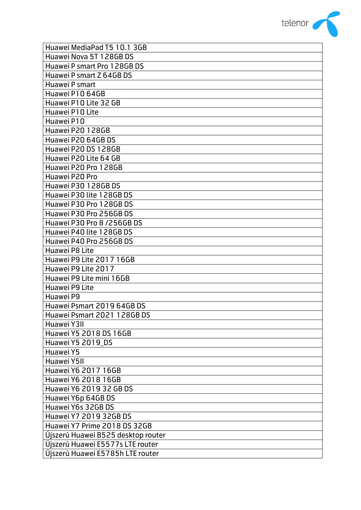

| Huawei MediaPad T5 10.1 3GB        |
|------------------------------------|
| Huawei Nova 5T 128GB DS            |
| Huawei P smart Pro 128GB DS        |
| Huawei P smart Z 64GB DS           |
| Huawei P smart                     |
| Huawei P10 64GB                    |
| Huawei P10 Lite 32 GB              |
| Huawei P10 Lite                    |
| Huawei P10                         |
| Huawei P20 128GB                   |
| Huawei P20 64GB DS                 |
| Huawei P20 DS 128GB                |
| Huawei P20 Lite 64 GB              |
| Huawei P20 Pro 128GB               |
| Huawei P20 Pro                     |
| Huawei P30 128GB DS                |
| Huawei P30 lite 128GB DS           |
| Huawei P30 Pro 128GB DS            |
| Huawei P30 Pro 256GB DS            |
| Huawei P30 Pro 8 / 256GB DS        |
| Huawei P40 lite 128GB DS           |
| Huawei P40 Pro 256GB DS            |
| Huawei P8 Lite                     |
| Huawei P9 Lite 2017 16GB           |
| Huawei P9 Lite 2017                |
| Huawei P9 Lite mini 16GB           |
| Huawei P9 Lite                     |
| Huawei P9                          |
| Huawei Psmart 2019 64GB DS         |
| Huawei Psmart 2021 128GB DS        |
| Huawei Y3II                        |
| Huawei Y5 2018 DS 16GB             |
| Huawei Y5 2019 DS                  |
| Huawei Y5                          |
| Huawei Y5II                        |
| Huawei Y6 2017 16GB                |
| Huawei Y6 2018 16GB                |
| Huawei Y6 2019 32 GB DS            |
| Huawei Y6p 64GB DS                 |
| Huawei Y6s 32GB DS                 |
| Huawei Y7 2019 32GB DS             |
| Huawei Y7 Prime 2018 DS 32GB       |
| Újszerû Huawei B525 desktop router |
| Újszerû Huawei E5577s LTE router   |
| Újszerû Huawei E5785h LTE router   |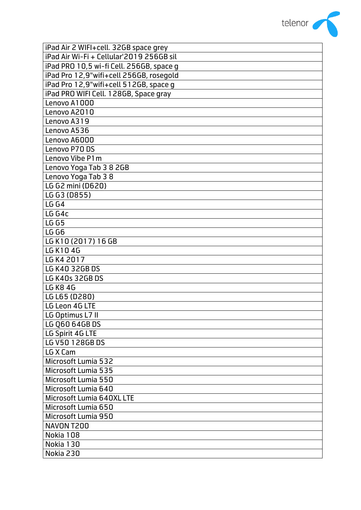

| iPad Air 2 WIFI+cell. 32GB space grey    |
|------------------------------------------|
| iPad Air Wi-Fi + Cellular'2019 256GB sil |
| iPad PRO 10,5 wi-fi Cell. 256GB, space g |
| iPad Pro 12,9"wifi+cell 256GB, rosegold  |
| iPad Pro 12,9"wifi+cell 512GB, space q   |
| iPad PRO WIFI Cell. 128GB, Space gray    |
| Lenovo A1000                             |
| Lenovo A2010                             |
| Lenovo A319                              |
| Lenovo A536                              |
| Lenovo A6000                             |
| Lenovo P70 DS                            |
| Lenovo Vibe P1m                          |
| Lenovo Yoga Tab 3 8 2GB                  |
| Lenovo Yoga Tab 38                       |
| LG G2 mini (D620)                        |
| LG G3 (D855)                             |
| <b>LG G4</b>                             |
| LG G4c                                   |
| <b>LG G5</b>                             |
| <b>LG G6</b>                             |
| LG K10 (2017) 16 GB                      |
| LG K10 4G                                |
| LG K4 2017                               |
| LG K40 32GB DS                           |
| LG K40s 32GB DS                          |
| <b>LG K8 4G</b>                          |
| LG L65 (D280)                            |
| LG Leon 4G LTE                           |
| LG Optimus L7 II                         |
| LG Q60 64GB DS                           |
| LG Spirit 4G LTE                         |
| LG V50 128GB DS                          |
| LG X Cam                                 |
| Microsoft Lumia 532                      |
| Microsoft Lumia 535                      |
| Microsoft Lumia 550                      |
| Microsoft Lumia 640                      |
| Microsoft Lumia 640XL LTE                |
| Microsoft Lumia 650                      |
| Microsoft Lumia 950                      |
| NAVON T200                               |
| Nokia 108                                |
| Nokia 130                                |
| Nokia 230                                |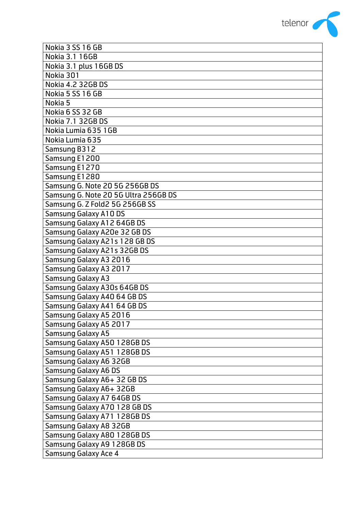

| Nokia 3 SS 16 GB                     |
|--------------------------------------|
| Nokia 3.1 16GB                       |
| Nokia 3.1 plus 16GB DS               |
| Nokia 301                            |
| Nokia 4.2 32GB DS                    |
| Nokia 5 SS 16 GB                     |
| Nokia 5                              |
| Nokia 6 SS 32 GB                     |
| Nokia 7.1 32GB DS                    |
| Nokia Lumia 635 1GB                  |
| Nokia Lumia 635                      |
| Samsung B312                         |
| Samsung E1200                        |
| Samsung E1270                        |
| Samsung E1280                        |
| Samsung G. Note 20 5G 256GB DS       |
| Samsung G. Note 20 5G Ultra 256GB DS |
| Samsung G. Z Fold2 5G 256GB SS       |
| <b>Samsung Galaxy A10 DS</b>         |
| Samsung Galaxy A12 64GB DS           |
| Samsung Galaxy A20e 32 GB DS         |
| Samsung Galaxy A21s 128 GB DS        |
| Samsung Galaxy A21s 32GB DS          |
| Samsung Galaxy A3 2016               |
| Samsung Galaxy A3 2017               |
| <b>Samsung Galaxy A3</b>             |
| Samsung Galaxy A30s 64GB DS          |
| Samsung Galaxy A40 64 GB DS          |
| Samsung Galaxy A41 64 GB DS          |
| Samsung Galaxy A5 2016               |
| Samsung Galaxy A5 2017               |
| <b>Samsung Galaxy A5</b>             |
| Samsung Galaxy A50 128GB DS          |
| Samsung Galaxy A51 128GB DS          |
| Samsung Galaxy A6 32GB               |
| <b>Samsung Galaxy A6 DS</b>          |
| Samsung Galaxy A6+ 32 GB DS          |
| Samsung Galaxy A6+ 32GB              |
| Samsung Galaxy A7 64GB DS            |
| Samsung Galaxy A70 128 GB DS         |
| Samsung Galaxy A71 128GB DS          |
| Samsung Galaxy A8 32GB               |
| Samsung Galaxy A80 128GB DS          |
| Samsung Galaxy A9 128GB DS           |
| <b>Samsung Galaxy Ace 4</b>          |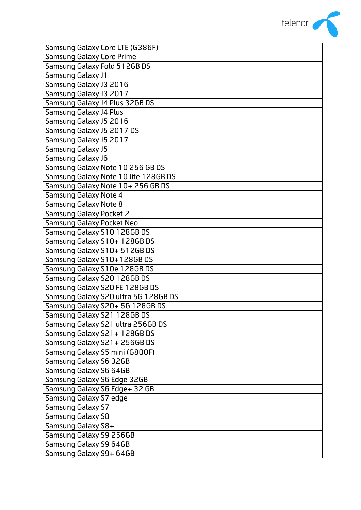

| Samsung Galaxy Core LTE (G386F)      |
|--------------------------------------|
| <b>Samsung Galaxy Core Prime</b>     |
| Samsung Galaxy Fold 512GB DS         |
| <b>Samsung Galaxy J1</b>             |
| Samsung Galaxy J3 2016               |
| Samsung Galaxy J3 2017               |
| Samsung Galaxy J4 Plus 32GB DS       |
| <b>Samsung Galaxy J4 Plus</b>        |
| Samsung Galaxy J5 2016               |
| Samsung Galaxy J5 2017 DS            |
| Samsung Galaxy J5 2017               |
| Samsung Galaxy J5                    |
| Samsung Galaxy J6                    |
| Samsung Galaxy Note 10 256 GB DS     |
| Samsung Galaxy Note 10 lite 128GB DS |
| Samsung Galaxy Note 10+ 256 GB DS    |
| <b>Samsung Galaxy Note 4</b>         |
| <b>Samsung Galaxy Note 8</b>         |
| <b>Samsung Galaxy Pocket 2</b>       |
| <b>Samsung Galaxy Pocket Neo</b>     |
| Samsung Galaxy S10 128GB DS          |
| Samsung Galaxy S10+ 128GB DS         |
| Samsung Galaxy S10+ 512GB DS         |
| Samsung Galaxy S10+128GB DS          |
| Samsung Galaxy S10e 128GB DS         |
| Samsung Galaxy S20 128GB DS          |
| Samsung Galaxy S20 FE 128GB DS       |
| Samsung Galaxy S20 ultra 5G 128GB DS |
| Samsung Galaxy S20+ 5G 128GB DS      |
| Samsung Galaxy S21 128GB DS          |
| Samsung Galaxy S21 ultra 256GB DS    |
| Samsung Galaxy S21+128GB DS          |
| Samsung Galaxy S21+256GBDS           |
| Samsung Galaxy S5 mini (G800F)       |
| Samsung Galaxy S6 32GB               |
| Samsung Galaxy S6 64GB               |
| Samsung Galaxy S6 Edge 32GB          |
| Samsung Galaxy S6 Edge+ 32 GB        |
| Samsung Galaxy S7 edge               |
| Samsung Galaxy S7                    |
| <b>Samsung Galaxy S8</b>             |
| Samsung Galaxy S8+                   |
| Samsung Galaxy S9 256GB              |
| Samsung Galaxy S9 64GB               |
| Samsung Galaxy S9+ 64GB              |
|                                      |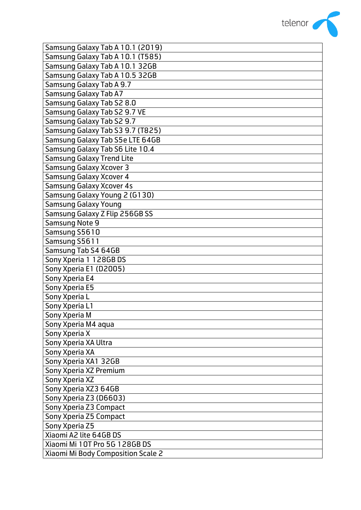

| Samsung Galaxy Tab A 10.1 (2019)   |
|------------------------------------|
| Samsung Galaxy Tab A 10.1 (T585)   |
| Samsung Galaxy Tab A 10.1 32GB     |
| Samsung Galaxy Tab A 10.5 32GB     |
| Samsung Galaxy Tab A 9.7           |
| <b>Samsung Galaxy Tab A7</b>       |
| Samsung Galaxy Tab S2 8.0          |
| Samsung Galaxy Tab S2 9.7 VE       |
| Samsung Galaxy Tab S2 9.7          |
| Samsung Galaxy Tab S3 9.7 (T825)   |
| Samsung Galaxy Tab S5e LTE 64GB    |
| Samsung Galaxy Tab S6 Lite 10.4    |
| <b>Samsung Galaxy Trend Lite</b>   |
| <b>Samsung Galaxy Xcover 3</b>     |
| <b>Samsung Galaxy Xcover 4</b>     |
| <b>Samsung Galaxy Xcover 4s</b>    |
| Samsung Galaxy Young 2 (G130)      |
| <b>Samsung Galaxy Young</b>        |
| Samsung Galaxy Z Flip 256GB SS     |
| <b>Samsung Note 9</b>              |
| Samsung S5610                      |
| Samsung S5611                      |
| Samsung Tab S4 64GB                |
| Sony Xperia 1 128GB DS             |
| Sony Xperia E1 (D2005)             |
| Sony Xperia E4                     |
| Sony Xperia E5                     |
| Sony Xperia L                      |
| Sony Xperia L1                     |
| Sony Xperia M                      |
| Sony Xperia M4 aqua                |
| Sony Xperia X                      |
| Sony Xperia XA Ultra               |
| Sony Xperia XA                     |
| Sony Xperia XA1 32GB               |
| Sony Xperia XZ Premium             |
| Sony Xperia XZ                     |
| Sony Xperia XZ3 64GB               |
| Sony Xperia Z3 (D6603)             |
| Sony Xperia Z3 Compact             |
| Sony Xperia Z5 Compact             |
| Sony Xperia Z5                     |
| Xiaomi A2 lite 64GB DS             |
| Xiaomi Mi 10T Pro 5G 128GB DS      |
| Xiaomi Mi Body Composition Scale 2 |